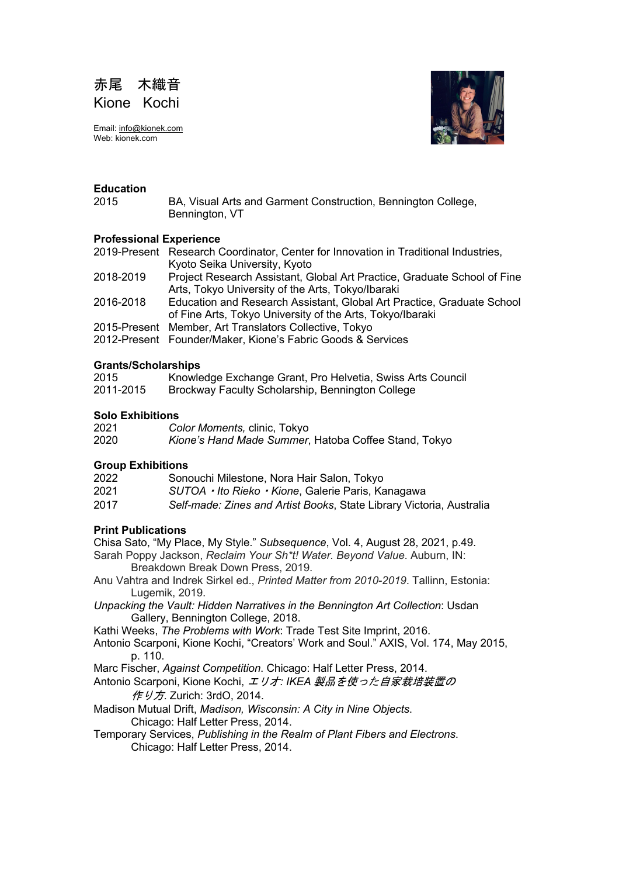

Email: info@kionek.com Web: kionek.com



## **Education**

2015 BA, Visual Arts and Garment Construction, Bennington College, Bennington, VT

## **Professional Experience**

2019-Present Research Coordinator, Center for Innovation in Traditional Industries, Kyoto Seika University, Kyoto

- 2018-2019 Project Research Assistant, Global Art Practice, Graduate School of Fine Arts, Tokyo University of the Arts, Tokyo/Ibaraki
- 2016-2018 Education and Research Assistant, Global Art Practice, Graduate School of Fine Arts, Tokyo University of the Arts, Tokyo/Ibaraki
- 2015-Present Member, Art Translators Collective, Tokyo
- 2012-Present Founder/Maker, Kione's Fabric Goods & Services

## **Grants/Scholarships**

| 2015      | Knowledge Exchange Grant, Pro Helvetia, Swiss Arts Council |
|-----------|------------------------------------------------------------|
| 2011-2015 | Brockway Faculty Scholarship, Bennington College           |

## **Solo Exhibitions**

| 2021 | Color Moments, clinic, Tokyo                         |
|------|------------------------------------------------------|
| 2020 | Kione's Hand Made Summer, Hatoba Coffee Stand, Tokyo |

## **Group Exhibitions**

| 2022 | Sonouchi Milestone, Nora Hair Salon, Tokyo |  |  |  |
|------|--------------------------------------------|--|--|--|
|      |                                            |  |  |  |

- 2021 *SUTOA*・*Ito Rieko*・*Kione*, Galerie Paris, Kanagawa
- 2017 *Self-made: Zines and Artist Books*, State Library Victoria, Australia

# **Print Publications**

Chisa Sato, "My Place, My Style." *Subsequence*, Vol. 4, August 28, 2021, p.49.

- Sarah Poppy Jackson, *Reclaim Your Sh\*t! Water. Beyond Value*. Auburn, IN: Breakdown Break Down Press, 2019.
- Anu Vahtra and Indrek Sirkel ed., *Printed Matter from 2010-2019*. Tallinn, Estonia: Lugemik, 2019.
- *Unpacking the Vault: Hidden Narratives in the Bennington Art Collection*: Usdan Gallery, Bennington College, 2018.
- Kathi Weeks, *The Problems with Work*: Trade Test Site Imprint, 2016.
- Antonio Scarponi, Kione Kochi, "Creators' Work and Soul." AXIS, Vol. 174, May 2015, p. 110.
- Marc Fischer, *Against Competition*. Chicago: Half Letter Press, 2014.
- Antonio Scarponi, Kione Kochi, エリオ*: IKEA* 製品を使った自家栽培装置の 作 り方. Zurich: 3rdO, 2014.
- Madison Mutual Drift, *Madison, Wisconsin: A City in Nine Objects*. Chicago: Half Letter Press, 2014.
- Temporary Services, *Publishing in the Realm of Plant Fibers and Electrons*. Chicago: Half Letter Press, 2014.